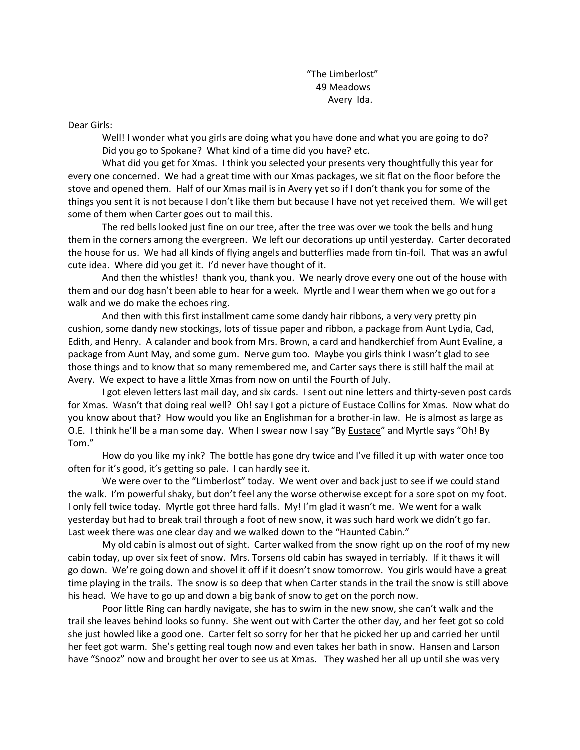"The Limberlost" 49 Meadows Avery Ida.

Dear Girls:

Well! I wonder what you girls are doing what you have done and what you are going to do? Did you go to Spokane? What kind of a time did you have? etc.

What did you get for Xmas. I think you selected your presents very thoughtfully this year for every one concerned. We had a great time with our Xmas packages, we sit flat on the floor before the stove and opened them. Half of our Xmas mail is in Avery yet so if I don't thank you for some of the things you sent it is not because I don't like them but because I have not yet received them. We will get some of them when Carter goes out to mail this.

The red bells looked just fine on our tree, after the tree was over we took the bells and hung them in the corners among the evergreen. We left our decorations up until yesterday. Carter decorated the house for us. We had all kinds of flying angels and butterflies made from tin-foil. That was an awful cute idea. Where did you get it. I'd never have thought of it.

And then the whistles! thank you, thank you. We nearly drove every one out of the house with them and our dog hasn't been able to hear for a week. Myrtle and I wear them when we go out for a walk and we do make the echoes ring.

And then with this first installment came some dandy hair ribbons, a very very pretty pin cushion, some dandy new stockings, lots of tissue paper and ribbon, a package from Aunt Lydia, Cad, Edith, and Henry. A calander and book from Mrs. Brown, a card and handkerchief from Aunt Evaline, a package from Aunt May, and some gum. Nerve gum too. Maybe you girls think I wasn't glad to see those things and to know that so many remembered me, and Carter says there is still half the mail at Avery. We expect to have a little Xmas from now on until the Fourth of July.

I got eleven letters last mail day, and six cards. I sent out nine letters and thirty-seven post cards for Xmas. Wasn't that doing real well? Oh! say I got a picture of Eustace Collins for Xmas. Now what do you know about that? How would you like an Englishman for a brother-in law. He is almost as large as O.E. I think he'll be a man some day. When I swear now I say "By Eustace" and Myrtle says "Oh! By Tom."

How do you like my ink? The bottle has gone dry twice and I've filled it up with water once too often for it's good, it's getting so pale. I can hardly see it.

We were over to the "Limberlost" today. We went over and back just to see if we could stand the walk. I'm powerful shaky, but don't feel any the worse otherwise except for a sore spot on my foot. I only fell twice today. Myrtle got three hard falls. My! I'm glad it wasn't me. We went for a walk yesterday but had to break trail through a foot of new snow, it was such hard work we didn't go far. Last week there was one clear day and we walked down to the "Haunted Cabin."

My old cabin is almost out of sight. Carter walked from the snow right up on the roof of my new cabin today, up over six feet of snow. Mrs. Torsens old cabin has swayed in terriably. If it thaws it will go down. We're going down and shovel it off if it doesn't snow tomorrow. You girls would have a great time playing in the trails. The snow is so deep that when Carter stands in the trail the snow is still above his head. We have to go up and down a big bank of snow to get on the porch now.

Poor little Ring can hardly navigate, she has to swim in the new snow, she can't walk and the trail she leaves behind looks so funny. She went out with Carter the other day, and her feet got so cold she just howled like a good one. Carter felt so sorry for her that he picked her up and carried her until her feet got warm. She's getting real tough now and even takes her bath in snow. Hansen and Larson have "Snooz" now and brought her over to see us at Xmas. They washed her all up until she was very